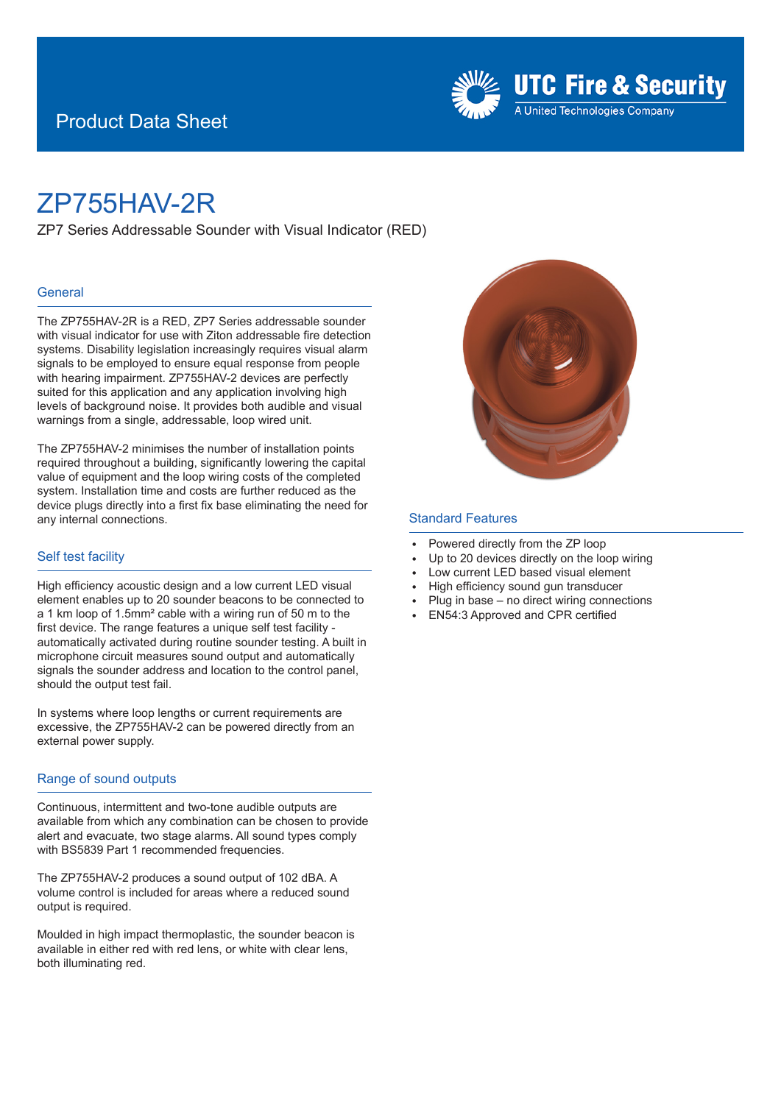### Product Data Sheet



## ZP755HAV-2R

ZP7 Series Addressable Sounder with Visual Indicator (RED)

#### **General**

The ZP755HAV-2R is a RED, ZP7 Series addressable sounder with visual indicator for use with Ziton addressable fire detection systems. Disability legislation increasingly requires visual alarm signals to be employed to ensure equal response from people with hearing impairment. ZP755HAV-2 devices are perfectly suited for this application and any application involving high levels of background noise. It provides both audible and visual warnings from a single, addressable, loop wired unit.

The ZP755HAV-2 minimises the number of installation points required throughout a building, significantly lowering the capital value of equipment and the loop wiring costs of the completed system. Installation time and costs are further reduced as the device plugs directly into a first fix base eliminating the need for any internal connections.

#### Self test facility

High efficiency acoustic design and a low current LED visual element enables up to 20 sounder beacons to be connected to a 1 km loop of 1.5mm² cable with a wiring run of 50 m to the first device. The range features a unique self test facility automatically activated during routine sounder testing. A built in microphone circuit measures sound output and automatically signals the sounder address and location to the control panel, should the output test fail.

In systems where loop lengths or current requirements are excessive, the ZP755HAV-2 can be powered directly from an external power supply.

#### Range of sound outputs

Continuous, intermittent and two-tone audible outputs are available from which any combination can be chosen to provide alert and evacuate, two stage alarms. All sound types comply with BS5839 Part 1 recommended frequencies.

The ZP755HAV-2 produces a sound output of 102 dBA. A volume control is included for areas where a reduced sound output is required.

Moulded in high impact thermoplastic, the sounder beacon is available in either red with red lens, or white with clear lens, both illuminating red.



#### Standard Features

- <sup>E</sup> Powered directly from the ZP loop
- Up to 20 devices directly on the loop wiring
- Low current LED based visual element
- High efficiency sound gun transducer
- Plug in base no direct wiring connections
- <sup>E</sup> EN54:3 Approved and CPR certified